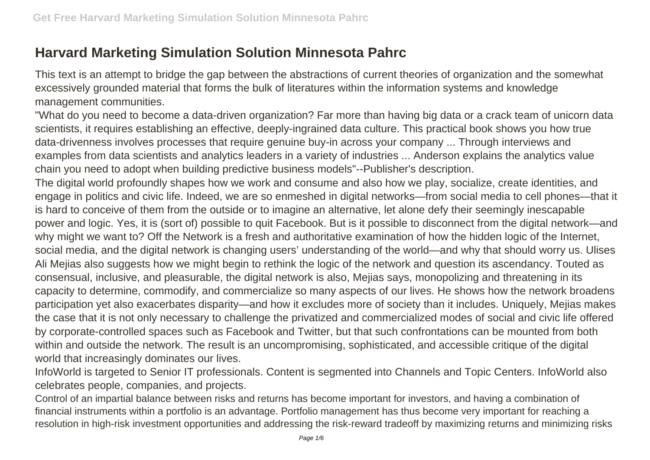## **Harvard Marketing Simulation Solution Minnesota Pahrc**

This text is an attempt to bridge the gap between the abstractions of current theories of organization and the somewhat excessively grounded material that forms the bulk of literatures within the information systems and knowledge management communities.

"What do you need to become a data-driven organization? Far more than having big data or a crack team of unicorn data scientists, it requires establishing an effective, deeply-ingrained data culture. This practical book shows you how true data-drivenness involves processes that require genuine buy-in across your company ... Through interviews and examples from data scientists and analytics leaders in a variety of industries ... Anderson explains the analytics value chain you need to adopt when building predictive business models"--Publisher's description.

The digital world profoundly shapes how we work and consume and also how we play, socialize, create identities, and engage in politics and civic life. Indeed, we are so enmeshed in digital networks—from social media to cell phones—that it is hard to conceive of them from the outside or to imagine an alternative, let alone defy their seemingly inescapable power and logic. Yes, it is (sort of) possible to quit Facebook. But is it possible to disconnect from the digital network—and why might we want to? Off the Network is a fresh and authoritative examination of how the hidden logic of the Internet, social media, and the digital network is changing users' understanding of the world—and why that should worry us. Ulises Ali Mejias also suggests how we might begin to rethink the logic of the network and question its ascendancy. Touted as consensual, inclusive, and pleasurable, the digital network is also, Mejias says, monopolizing and threatening in its capacity to determine, commodify, and commercialize so many aspects of our lives. He shows how the network broadens participation yet also exacerbates disparity—and how it excludes more of society than it includes. Uniquely, Mejias makes the case that it is not only necessary to challenge the privatized and commercialized modes of social and civic life offered by corporate-controlled spaces such as Facebook and Twitter, but that such confrontations can be mounted from both within and outside the network. The result is an uncompromising, sophisticated, and accessible critique of the digital world that increasingly dominates our lives.

InfoWorld is targeted to Senior IT professionals. Content is segmented into Channels and Topic Centers. InfoWorld also celebrates people, companies, and projects.

Control of an impartial balance between risks and returns has become important for investors, and having a combination of financial instruments within a portfolio is an advantage. Portfolio management has thus become very important for reaching a resolution in high-risk investment opportunities and addressing the risk-reward tradeoff by maximizing returns and minimizing risks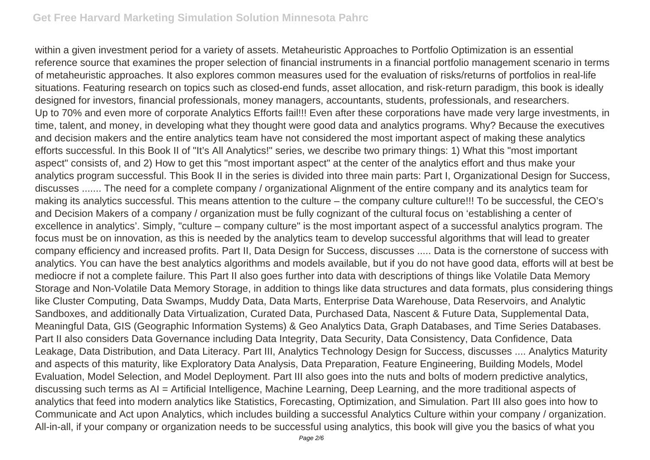within a given investment period for a variety of assets. Metaheuristic Approaches to Portfolio Optimization is an essential reference source that examines the proper selection of financial instruments in a financial portfolio management scenario in terms of metaheuristic approaches. It also explores common measures used for the evaluation of risks/returns of portfolios in real-life situations. Featuring research on topics such as closed-end funds, asset allocation, and risk-return paradigm, this book is ideally designed for investors, financial professionals, money managers, accountants, students, professionals, and researchers. Up to 70% and even more of corporate Analytics Efforts fail!!! Even after these corporations have made very large investments, in time, talent, and money, in developing what they thought were good data and analytics programs. Why? Because the executives and decision makers and the entire analytics team have not considered the most important aspect of making these analytics efforts successful. In this Book II of "It's All Analytics!" series, we describe two primary things: 1) What this "most important aspect" consists of, and 2) How to get this "most important aspect" at the center of the analytics effort and thus make your analytics program successful. This Book II in the series is divided into three main parts: Part I, Organizational Design for Success, discusses ....... The need for a complete company / organizational Alignment of the entire company and its analytics team for making its analytics successful. This means attention to the culture – the company culture culture!!! To be successful, the CEO's and Decision Makers of a company / organization must be fully cognizant of the cultural focus on 'establishing a center of excellence in analytics'. Simply, "culture – company culture" is the most important aspect of a successful analytics program. The focus must be on innovation, as this is needed by the analytics team to develop successful algorithms that will lead to greater company efficiency and increased profits. Part II, Data Design for Success, discusses ..... Data is the cornerstone of success with analytics. You can have the best analytics algorithms and models available, but if you do not have good data, efforts will at best be mediocre if not a complete failure. This Part II also goes further into data with descriptions of things like Volatile Data Memory Storage and Non-Volatile Data Memory Storage, in addition to things like data structures and data formats, plus considering things like Cluster Computing, Data Swamps, Muddy Data, Data Marts, Enterprise Data Warehouse, Data Reservoirs, and Analytic Sandboxes, and additionally Data Virtualization, Curated Data, Purchased Data, Nascent & Future Data, Supplemental Data, Meaningful Data, GIS (Geographic Information Systems) & Geo Analytics Data, Graph Databases, and Time Series Databases. Part II also considers Data Governance including Data Integrity, Data Security, Data Consistency, Data Confidence, Data Leakage, Data Distribution, and Data Literacy. Part III, Analytics Technology Design for Success, discusses .... Analytics Maturity and aspects of this maturity, like Exploratory Data Analysis, Data Preparation, Feature Engineering, Building Models, Model Evaluation, Model Selection, and Model Deployment. Part III also goes into the nuts and bolts of modern predictive analytics, discussing such terms as AI = Artificial Intelligence, Machine Learning, Deep Learning, and the more traditional aspects of analytics that feed into modern analytics like Statistics, Forecasting, Optimization, and Simulation. Part III also goes into how to Communicate and Act upon Analytics, which includes building a successful Analytics Culture within your company / organization. All-in-all, if your company or organization needs to be successful using analytics, this book will give you the basics of what you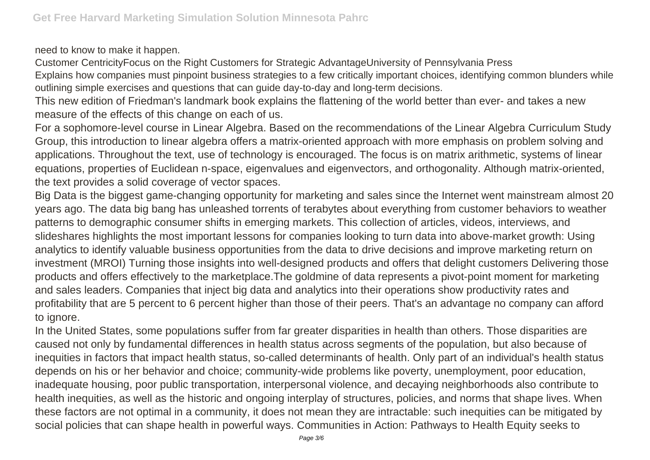need to know to make it happen.

Customer CentricityFocus on the Right Customers for Strategic AdvantageUniversity of Pennsylvania Press

Explains how companies must pinpoint business strategies to a few critically important choices, identifying common blunders while outlining simple exercises and questions that can guide day-to-day and long-term decisions.

This new edition of Friedman's landmark book explains the flattening of the world better than ever- and takes a new measure of the effects of this change on each of us.

For a sophomore-level course in Linear Algebra. Based on the recommendations of the Linear Algebra Curriculum Study Group, this introduction to linear algebra offers a matrix-oriented approach with more emphasis on problem solving and applications. Throughout the text, use of technology is encouraged. The focus is on matrix arithmetic, systems of linear equations, properties of Euclidean n-space, eigenvalues and eigenvectors, and orthogonality. Although matrix-oriented, the text provides a solid coverage of vector spaces.

Big Data is the biggest game-changing opportunity for marketing and sales since the Internet went mainstream almost 20 years ago. The data big bang has unleashed torrents of terabytes about everything from customer behaviors to weather patterns to demographic consumer shifts in emerging markets. This collection of articles, videos, interviews, and slideshares highlights the most important lessons for companies looking to turn data into above-market growth: Using analytics to identify valuable business opportunities from the data to drive decisions and improve marketing return on investment (MROI) Turning those insights into well-designed products and offers that delight customers Delivering those products and offers effectively to the marketplace.The goldmine of data represents a pivot-point moment for marketing and sales leaders. Companies that inject big data and analytics into their operations show productivity rates and profitability that are 5 percent to 6 percent higher than those of their peers. That's an advantage no company can afford to ignore.

In the United States, some populations suffer from far greater disparities in health than others. Those disparities are caused not only by fundamental differences in health status across segments of the population, but also because of inequities in factors that impact health status, so-called determinants of health. Only part of an individual's health status depends on his or her behavior and choice; community-wide problems like poverty, unemployment, poor education, inadequate housing, poor public transportation, interpersonal violence, and decaying neighborhoods also contribute to health inequities, as well as the historic and ongoing interplay of structures, policies, and norms that shape lives. When these factors are not optimal in a community, it does not mean they are intractable: such inequities can be mitigated by social policies that can shape health in powerful ways. Communities in Action: Pathways to Health Equity seeks to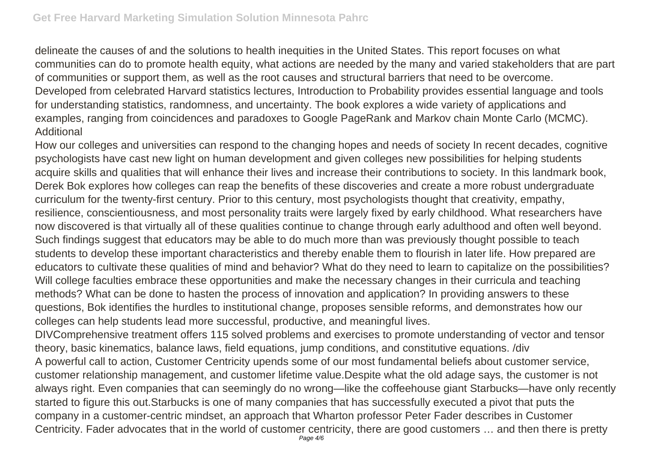delineate the causes of and the solutions to health inequities in the United States. This report focuses on what communities can do to promote health equity, what actions are needed by the many and varied stakeholders that are part of communities or support them, as well as the root causes and structural barriers that need to be overcome. Developed from celebrated Harvard statistics lectures, Introduction to Probability provides essential language and tools for understanding statistics, randomness, and uncertainty. The book explores a wide variety of applications and examples, ranging from coincidences and paradoxes to Google PageRank and Markov chain Monte Carlo (MCMC). Additional

How our colleges and universities can respond to the changing hopes and needs of society In recent decades, cognitive psychologists have cast new light on human development and given colleges new possibilities for helping students acquire skills and qualities that will enhance their lives and increase their contributions to society. In this landmark book, Derek Bok explores how colleges can reap the benefits of these discoveries and create a more robust undergraduate curriculum for the twenty-first century. Prior to this century, most psychologists thought that creativity, empathy, resilience, conscientiousness, and most personality traits were largely fixed by early childhood. What researchers have now discovered is that virtually all of these qualities continue to change through early adulthood and often well beyond. Such findings suggest that educators may be able to do much more than was previously thought possible to teach students to develop these important characteristics and thereby enable them to flourish in later life. How prepared are educators to cultivate these qualities of mind and behavior? What do they need to learn to capitalize on the possibilities? Will college faculties embrace these opportunities and make the necessary changes in their curricula and teaching methods? What can be done to hasten the process of innovation and application? In providing answers to these questions, Bok identifies the hurdles to institutional change, proposes sensible reforms, and demonstrates how our colleges can help students lead more successful, productive, and meaningful lives.

DIVComprehensive treatment offers 115 solved problems and exercises to promote understanding of vector and tensor theory, basic kinematics, balance laws, field equations, jump conditions, and constitutive equations. /div A powerful call to action, Customer Centricity upends some of our most fundamental beliefs about customer service, customer relationship management, and customer lifetime value.Despite what the old adage says, the customer is not always right. Even companies that can seemingly do no wrong—like the coffeehouse giant Starbucks—have only recently started to figure this out.Starbucks is one of many companies that has successfully executed a pivot that puts the company in a customer-centric mindset, an approach that Wharton professor Peter Fader describes in Customer Centricity. Fader advocates that in the world of customer centricity, there are good customers … and then there is pretty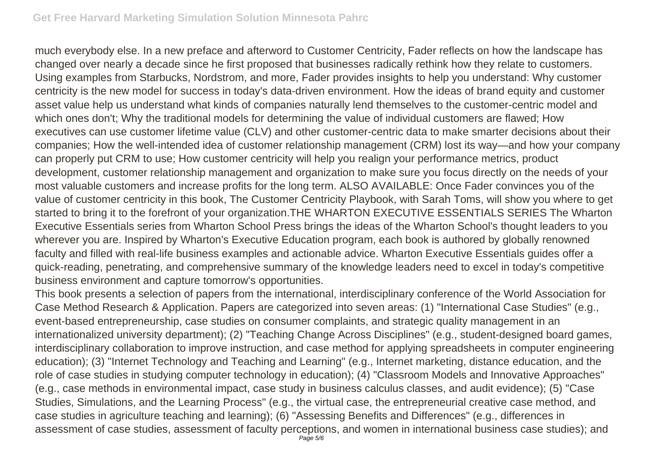much everybody else. In a new preface and afterword to Customer Centricity, Fader reflects on how the landscape has changed over nearly a decade since he first proposed that businesses radically rethink how they relate to customers. Using examples from Starbucks, Nordstrom, and more, Fader provides insights to help you understand: Why customer centricity is the new model for success in today's data-driven environment. How the ideas of brand equity and customer asset value help us understand what kinds of companies naturally lend themselves to the customer-centric model and which ones don't; Why the traditional models for determining the value of individual customers are flawed; How executives can use customer lifetime value (CLV) and other customer-centric data to make smarter decisions about their companies; How the well-intended idea of customer relationship management (CRM) lost its way—and how your company can properly put CRM to use; How customer centricity will help you realign your performance metrics, product development, customer relationship management and organization to make sure you focus directly on the needs of your most valuable customers and increase profits for the long term. ALSO AVAILABLE: Once Fader convinces you of the value of customer centricity in this book, The Customer Centricity Playbook, with Sarah Toms, will show you where to get started to bring it to the forefront of your organization.THE WHARTON EXECUTIVE ESSENTIALS SERIES The Wharton Executive Essentials series from Wharton School Press brings the ideas of the Wharton School's thought leaders to you wherever you are. Inspired by Wharton's Executive Education program, each book is authored by globally renowned faculty and filled with real-life business examples and actionable advice. Wharton Executive Essentials guides offer a quick-reading, penetrating, and comprehensive summary of the knowledge leaders need to excel in today's competitive business environment and capture tomorrow's opportunities.

This book presents a selection of papers from the international, interdisciplinary conference of the World Association for Case Method Research & Application. Papers are categorized into seven areas: (1) "International Case Studies" (e.g., event-based entrepreneurship, case studies on consumer complaints, and strategic quality management in an internationalized university department); (2) "Teaching Change Across Disciplines" (e.g., student-designed board games, interdisciplinary collaboration to improve instruction, and case method for applying spreadsheets in computer engineering education); (3) "Internet Technology and Teaching and Learning" (e.g., Internet marketing, distance education, and the role of case studies in studying computer technology in education); (4) "Classroom Models and Innovative Approaches" (e.g., case methods in environmental impact, case study in business calculus classes, and audit evidence); (5) "Case Studies, Simulations, and the Learning Process" (e.g., the virtual case, the entrepreneurial creative case method, and case studies in agriculture teaching and learning); (6) "Assessing Benefits and Differences" (e.g., differences in assessment of case studies, assessment of faculty perceptions, and women in international business case studies); and